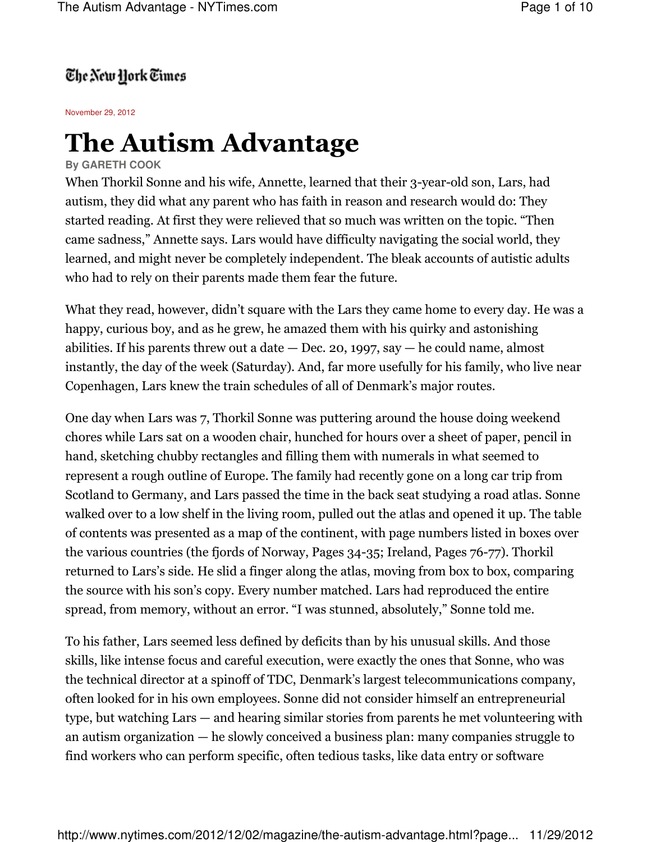## The New Hork Times

November 29, 2012

## The Autism Advantage

## **By GARETH COOK**

When Thorkil Sonne and his wife, Annette, learned that their 3-year-old son, Lars, had autism, they did what any parent who has faith in reason and research would do: They started reading. At first they were relieved that so much was written on the topic. "Then came sadness," Annette says. Lars would have difficulty navigating the social world, they learned, and might never be completely independent. The bleak accounts of autistic adults who had to rely on their parents made them fear the future.

What they read, however, didn't square with the Lars they came home to every day. He was a happy, curious boy, and as he grew, he amazed them with his quirky and astonishing abilities. If his parents threw out a date  $-$  Dec. 20, 1997, say  $-$  he could name, almost instantly, the day of the week (Saturday). And, far more usefully for his family, who live near Copenhagen, Lars knew the train schedules of all of Denmark's major routes.

One day when Lars was 7, Thorkil Sonne was puttering around the house doing weekend chores while Lars sat on a wooden chair, hunched for hours over a sheet of paper, pencil in hand, sketching chubby rectangles and filling them with numerals in what seemed to represent a rough outline of Europe. The family had recently gone on a long car trip from Scotland to Germany, and Lars passed the time in the back seat studying a road atlas. Sonne walked over to a low shelf in the living room, pulled out the atlas and opened it up. The table of contents was presented as a map of the continent, with page numbers listed in boxes over the various countries (the fjords of Norway, Pages 34-35; Ireland, Pages 76-77). Thorkil returned to Lars's side. He slid a finger along the atlas, moving from box to box, comparing the source with his son's copy. Every number matched. Lars had reproduced the entire spread, from memory, without an error. "I was stunned, absolutely," Sonne told me.

To his father, Lars seemed less defined by deficits than by his unusual skills. And those skills, like intense focus and careful execution, were exactly the ones that Sonne, who was the technical director at a spinoff of TDC, Denmark's largest telecommunications company, often looked for in his own employees. Sonne did not consider himself an entrepreneurial type, but watching Lars — and hearing similar stories from parents he met volunteering with an autism organization — he slowly conceived a business plan: many companies struggle to find workers who can perform specific, often tedious tasks, like data entry or software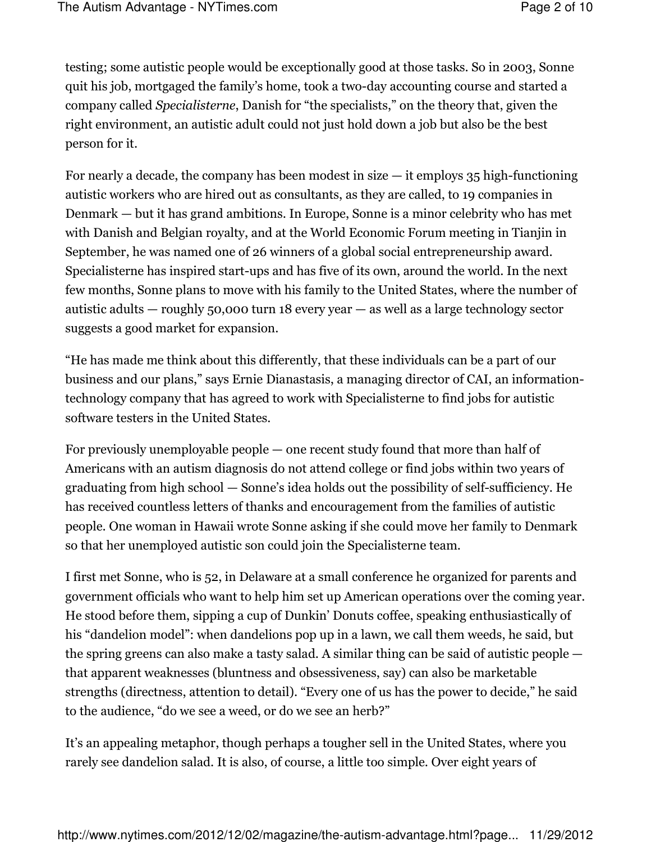testing; some autistic people would be exceptionally good at those tasks. So in 2003, Sonne quit his job, mortgaged the family's home, took a two-day accounting course and started a company called Specialisterne, Danish for "the specialists," on the theory that, given the right environment, an autistic adult could not just hold down a job but also be the best person for it.

For nearly a decade, the company has been modest in size  $-$  it employs 35 high-functioning autistic workers who are hired out as consultants, as they are called, to 19 companies in Denmark — but it has grand ambitions. In Europe, Sonne is a minor celebrity who has met with Danish and Belgian royalty, and at the World Economic Forum meeting in Tianjin in September, he was named one of 26 winners of a global social entrepreneurship award. Specialisterne has inspired start-ups and has five of its own, around the world. In the next few months, Sonne plans to move with his family to the United States, where the number of autistic adults — roughly 50,000 turn 18 every year — as well as a large technology sector suggests a good market for expansion.

"He has made me think about this differently, that these individuals can be a part of our business and our plans," says Ernie Dianastasis, a managing director of CAI, an informationtechnology company that has agreed to work with Specialisterne to find jobs for autistic software testers in the United States.

For previously unemployable people — one recent study found that more than half of Americans with an autism diagnosis do not attend college or find jobs within two years of graduating from high school — Sonne's idea holds out the possibility of self-sufficiency. He has received countless letters of thanks and encouragement from the families of autistic people. One woman in Hawaii wrote Sonne asking if she could move her family to Denmark so that her unemployed autistic son could join the Specialisterne team.

I first met Sonne, who is 52, in Delaware at a small conference he organized for parents and government officials who want to help him set up American operations over the coming year. He stood before them, sipping a cup of Dunkin' Donuts coffee, speaking enthusiastically of his "dandelion model": when dandelions pop up in a lawn, we call them weeds, he said, but the spring greens can also make a tasty salad. A similar thing can be said of autistic people that apparent weaknesses (bluntness and obsessiveness, say) can also be marketable strengths (directness, attention to detail). "Every one of us has the power to decide," he said to the audience, "do we see a weed, or do we see an herb?"

It's an appealing metaphor, though perhaps a tougher sell in the United States, where you rarely see dandelion salad. It is also, of course, a little too simple. Over eight years of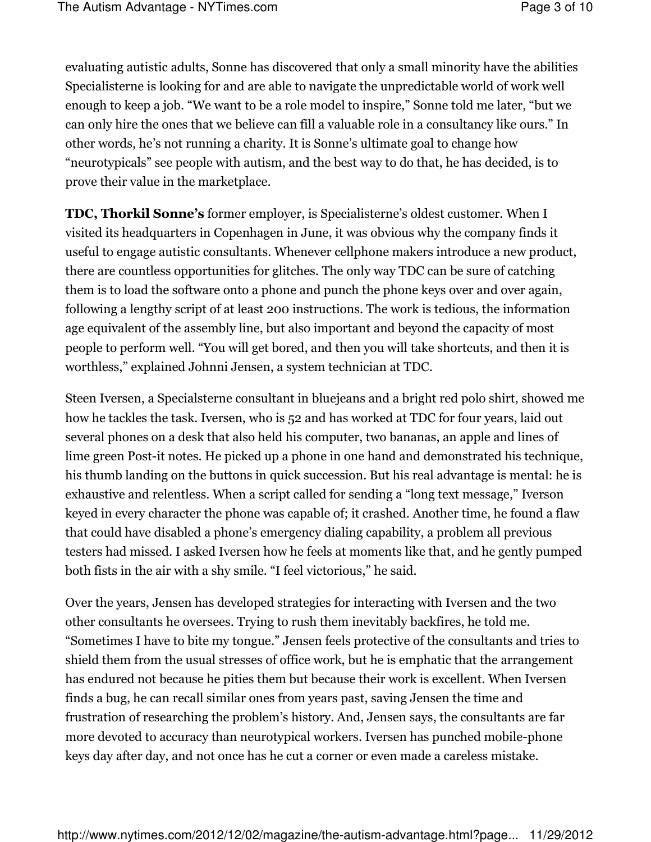evaluating autistic adults, Sonne has discovered that only a small minority have the abilities Specialisterne is looking for and are able to navigate the unpredictable world of work well enough to keep a job. "We want to be a role model to inspire," Sonne told me later, "but we can only hire the ones that we believe can fill a valuable role in a consultancy like ours." In other words, he's not running a charity. It is Sonne's ultimate goal to change how "neurotypicals" see people with autism, and the best way to do that, he has decided, is to prove their value in the marketplace.

TDC, Thorkil Sonne's former employer, is Specialisterne's oldest customer. When I visited its headquarters in Copenhagen in June, it was obvious why the company finds it useful to engage autistic consultants. Whenever cellphone makers introduce a new product, there are countless opportunities for glitches. The only way TDC can be sure of catching them is to load the software onto a phone and punch the phone keys over and over again, following a lengthy script of at least 200 instructions. The work is tedious, the information age equivalent of the assembly line, but also important and beyond the capacity of most people to perform well. "You will get bored, and then you will take shortcuts, and then it is worthless," explained Johnni Jensen, a system technician at TDC.

Steen Iversen, a Specialsterne consultant in bluejeans and a bright red polo shirt, showed me how he tackles the task. Iversen, who is 52 and has worked at TDC for four years, laid out several phones on a desk that also held his computer, two bananas, an apple and lines of lime green Post-it notes. He picked up a phone in one hand and demonstrated his technique, his thumb landing on the buttons in quick succession. But his real advantage is mental: he is exhaustive and relentless. When a script called for sending a "long text message," Iverson keyed in every character the phone was capable of; it crashed. Another time, he found a flaw that could have disabled a phone's emergency dialing capability, a problem all previous testers had missed. I asked Iversen how he feels at moments like that, and he gently pumped both fists in the air with a shy smile. "I feel victorious," he said.

Over the years, Jensen has developed strategies for interacting with Iversen and the two other consultants he oversees. Trying to rush them inevitably backfires, he told me. "Sometimes I have to bite my tongue." Jensen feels protective of the consultants and tries to shield them from the usual stresses of office work, but he is emphatic that the arrangement has endured not because he pities them but because their work is excellent. When Iversen finds a bug, he can recall similar ones from years past, saving Jensen the time and frustration of researching the problem's history. And, Jensen says, the consultants are far more devoted to accuracy than neurotypical workers. Iversen has punched mobile-phone keys day after day, and not once has he cut a corner or even made a careless mistake.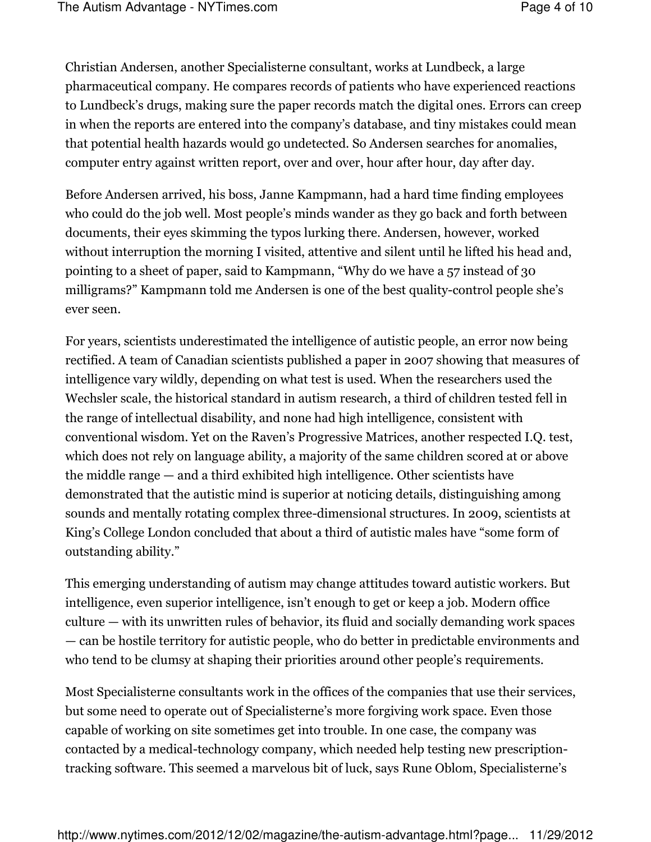Christian Andersen, another Specialisterne consultant, works at Lundbeck, a large pharmaceutical company. He compares records of patients who have experienced reactions to Lundbeck's drugs, making sure the paper records match the digital ones. Errors can creep in when the reports are entered into the company's database, and tiny mistakes could mean that potential health hazards would go undetected. So Andersen searches for anomalies, computer entry against written report, over and over, hour after hour, day after day.

Before Andersen arrived, his boss, Janne Kampmann, had a hard time finding employees who could do the job well. Most people's minds wander as they go back and forth between documents, their eyes skimming the typos lurking there. Andersen, however, worked without interruption the morning I visited, attentive and silent until he lifted his head and, pointing to a sheet of paper, said to Kampmann, "Why do we have a 57 instead of 30 milligrams?" Kampmann told me Andersen is one of the best quality-control people she's ever seen.

For years, scientists underestimated the intelligence of autistic people, an error now being rectified. A team of Canadian scientists published a paper in 2007 showing that measures of intelligence vary wildly, depending on what test is used. When the researchers used the Wechsler scale, the historical standard in autism research, a third of children tested fell in the range of intellectual disability, and none had high intelligence, consistent with conventional wisdom. Yet on the Raven's Progressive Matrices, another respected I.Q. test, which does not rely on language ability, a majority of the same children scored at or above the middle range — and a third exhibited high intelligence. Other scientists have demonstrated that the autistic mind is superior at noticing details, distinguishing among sounds and mentally rotating complex three-dimensional structures. In 2009, scientists at King's College London concluded that about a third of autistic males have "some form of outstanding ability."

This emerging understanding of autism may change attitudes toward autistic workers. But intelligence, even superior intelligence, isn't enough to get or keep a job. Modern office culture — with its unwritten rules of behavior, its fluid and socially demanding work spaces — can be hostile territory for autistic people, who do better in predictable environments and who tend to be clumsy at shaping their priorities around other people's requirements.

Most Specialisterne consultants work in the offices of the companies that use their services, but some need to operate out of Specialisterne's more forgiving work space. Even those capable of working on site sometimes get into trouble. In one case, the company was contacted by a medical-technology company, which needed help testing new prescriptiontracking software. This seemed a marvelous bit of luck, says Rune Oblom, Specialisterne's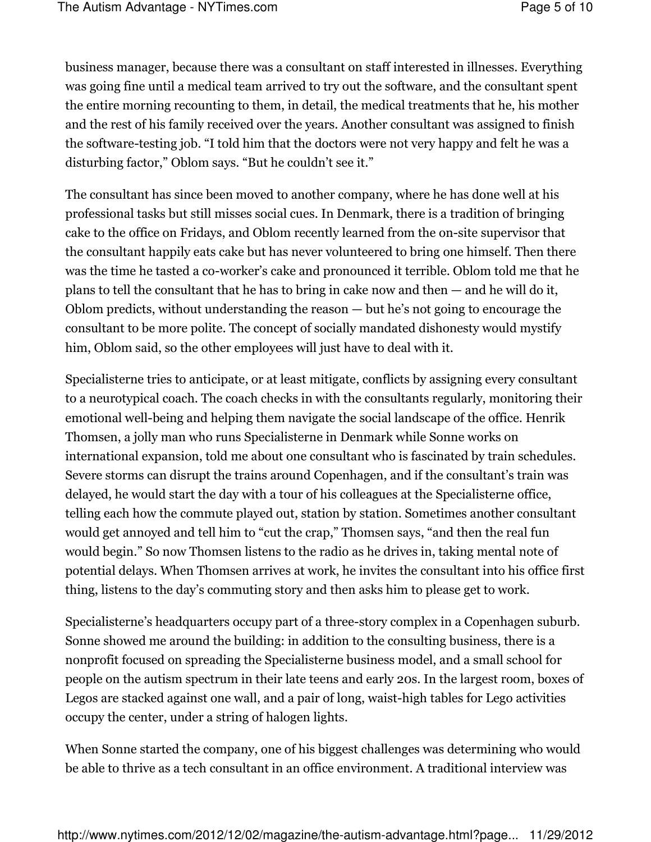business manager, because there was a consultant on staff interested in illnesses. Everything was going fine until a medical team arrived to try out the software, and the consultant spent the entire morning recounting to them, in detail, the medical treatments that he, his mother and the rest of his family received over the years. Another consultant was assigned to finish the software-testing job. "I told him that the doctors were not very happy and felt he was a disturbing factor," Oblom says. "But he couldn't see it."

The consultant has since been moved to another company, where he has done well at his professional tasks but still misses social cues. In Denmark, there is a tradition of bringing cake to the office on Fridays, and Oblom recently learned from the on-site supervisor that the consultant happily eats cake but has never volunteered to bring one himself. Then there was the time he tasted a co-worker's cake and pronounced it terrible. Oblom told me that he plans to tell the consultant that he has to bring in cake now and then — and he will do it, Oblom predicts, without understanding the reason — but he's not going to encourage the consultant to be more polite. The concept of socially mandated dishonesty would mystify him, Oblom said, so the other employees will just have to deal with it.

Specialisterne tries to anticipate, or at least mitigate, conflicts by assigning every consultant to a neurotypical coach. The coach checks in with the consultants regularly, monitoring their emotional well-being and helping them navigate the social landscape of the office. Henrik Thomsen, a jolly man who runs Specialisterne in Denmark while Sonne works on international expansion, told me about one consultant who is fascinated by train schedules. Severe storms can disrupt the trains around Copenhagen, and if the consultant's train was delayed, he would start the day with a tour of his colleagues at the Specialisterne office, telling each how the commute played out, station by station. Sometimes another consultant would get annoyed and tell him to "cut the crap," Thomsen says, "and then the real fun would begin." So now Thomsen listens to the radio as he drives in, taking mental note of potential delays. When Thomsen arrives at work, he invites the consultant into his office first thing, listens to the day's commuting story and then asks him to please get to work.

Specialisterne's headquarters occupy part of a three-story complex in a Copenhagen suburb. Sonne showed me around the building: in addition to the consulting business, there is a nonprofit focused on spreading the Specialisterne business model, and a small school for people on the autism spectrum in their late teens and early 20s. In the largest room, boxes of Legos are stacked against one wall, and a pair of long, waist-high tables for Lego activities occupy the center, under a string of halogen lights.

When Sonne started the company, one of his biggest challenges was determining who would be able to thrive as a tech consultant in an office environment. A traditional interview was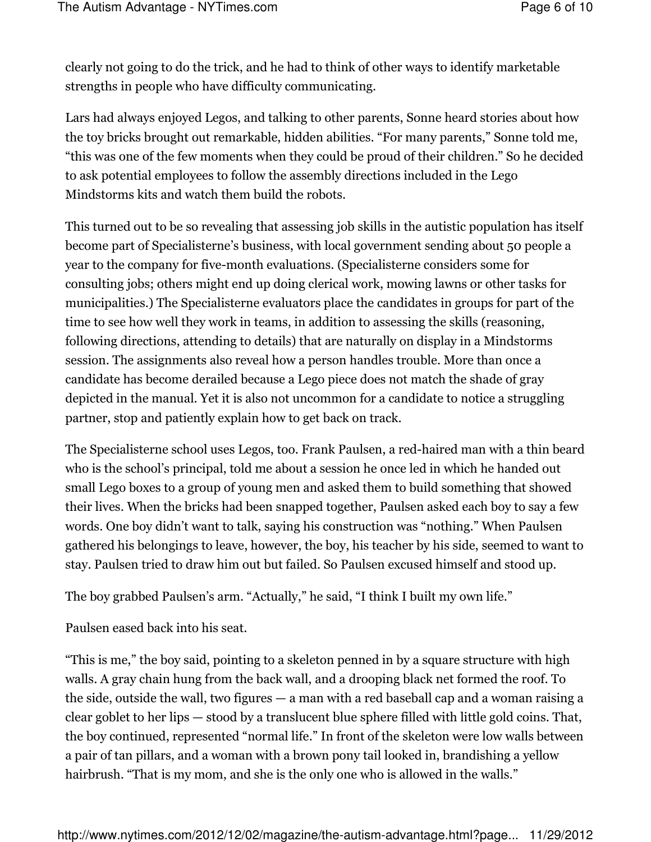clearly not going to do the trick, and he had to think of other ways to identify marketable strengths in people who have difficulty communicating.

Lars had always enjoyed Legos, and talking to other parents, Sonne heard stories about how the toy bricks brought out remarkable, hidden abilities. "For many parents," Sonne told me, "this was one of the few moments when they could be proud of their children." So he decided to ask potential employees to follow the assembly directions included in the Lego Mindstorms kits and watch them build the robots.

This turned out to be so revealing that assessing job skills in the autistic population has itself become part of Specialisterne's business, with local government sending about 50 people a year to the company for five-month evaluations. (Specialisterne considers some for consulting jobs; others might end up doing clerical work, mowing lawns or other tasks for municipalities.) The Specialisterne evaluators place the candidates in groups for part of the time to see how well they work in teams, in addition to assessing the skills (reasoning, following directions, attending to details) that are naturally on display in a Mindstorms session. The assignments also reveal how a person handles trouble. More than once a candidate has become derailed because a Lego piece does not match the shade of gray depicted in the manual. Yet it is also not uncommon for a candidate to notice a struggling partner, stop and patiently explain how to get back on track.

The Specialisterne school uses Legos, too. Frank Paulsen, a red-haired man with a thin beard who is the school's principal, told me about a session he once led in which he handed out small Lego boxes to a group of young men and asked them to build something that showed their lives. When the bricks had been snapped together, Paulsen asked each boy to say a few words. One boy didn't want to talk, saying his construction was "nothing." When Paulsen gathered his belongings to leave, however, the boy, his teacher by his side, seemed to want to stay. Paulsen tried to draw him out but failed. So Paulsen excused himself and stood up.

The boy grabbed Paulsen's arm. "Actually," he said, "I think I built my own life."

Paulsen eased back into his seat.

"This is me," the boy said, pointing to a skeleton penned in by a square structure with high walls. A gray chain hung from the back wall, and a drooping black net formed the roof. To the side, outside the wall, two figures — a man with a red baseball cap and a woman raising a clear goblet to her lips — stood by a translucent blue sphere filled with little gold coins. That, the boy continued, represented "normal life." In front of the skeleton were low walls between a pair of tan pillars, and a woman with a brown pony tail looked in, brandishing a yellow hairbrush. "That is my mom, and she is the only one who is allowed in the walls."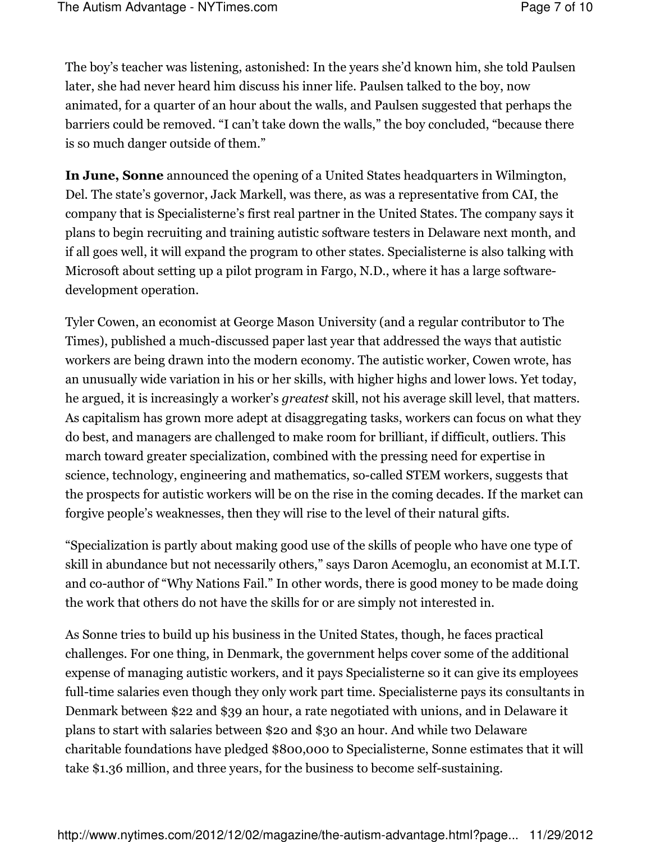The boy's teacher was listening, astonished: In the years she'd known him, she told Paulsen later, she had never heard him discuss his inner life. Paulsen talked to the boy, now animated, for a quarter of an hour about the walls, and Paulsen suggested that perhaps the barriers could be removed. "I can't take down the walls," the boy concluded, "because there is so much danger outside of them."

In June, Sonne announced the opening of a United States headquarters in Wilmington, Del. The state's governor, Jack Markell, was there, as was a representative from CAI, the company that is Specialisterne's first real partner in the United States. The company says it plans to begin recruiting and training autistic software testers in Delaware next month, and if all goes well, it will expand the program to other states. Specialisterne is also talking with Microsoft about setting up a pilot program in Fargo, N.D., where it has a large softwaredevelopment operation.

Tyler Cowen, an economist at George Mason University (and a regular contributor to The Times), published a much-discussed paper last year that addressed the ways that autistic workers are being drawn into the modern economy. The autistic worker, Cowen wrote, has an unusually wide variation in his or her skills, with higher highs and lower lows. Yet today, he argued, it is increasingly a worker's greatest skill, not his average skill level, that matters. As capitalism has grown more adept at disaggregating tasks, workers can focus on what they do best, and managers are challenged to make room for brilliant, if difficult, outliers. This march toward greater specialization, combined with the pressing need for expertise in science, technology, engineering and mathematics, so-called STEM workers, suggests that the prospects for autistic workers will be on the rise in the coming decades. If the market can forgive people's weaknesses, then they will rise to the level of their natural gifts.

"Specialization is partly about making good use of the skills of people who have one type of skill in abundance but not necessarily others," says Daron Acemoglu, an economist at M.I.T. and co-author of "Why Nations Fail." In other words, there is good money to be made doing the work that others do not have the skills for or are simply not interested in.

As Sonne tries to build up his business in the United States, though, he faces practical challenges. For one thing, in Denmark, the government helps cover some of the additional expense of managing autistic workers, and it pays Specialisterne so it can give its employees full-time salaries even though they only work part time. Specialisterne pays its consultants in Denmark between \$22 and \$39 an hour, a rate negotiated with unions, and in Delaware it plans to start with salaries between \$20 and \$30 an hour. And while two Delaware charitable foundations have pledged \$800,000 to Specialisterne, Sonne estimates that it will take \$1.36 million, and three years, for the business to become self-sustaining.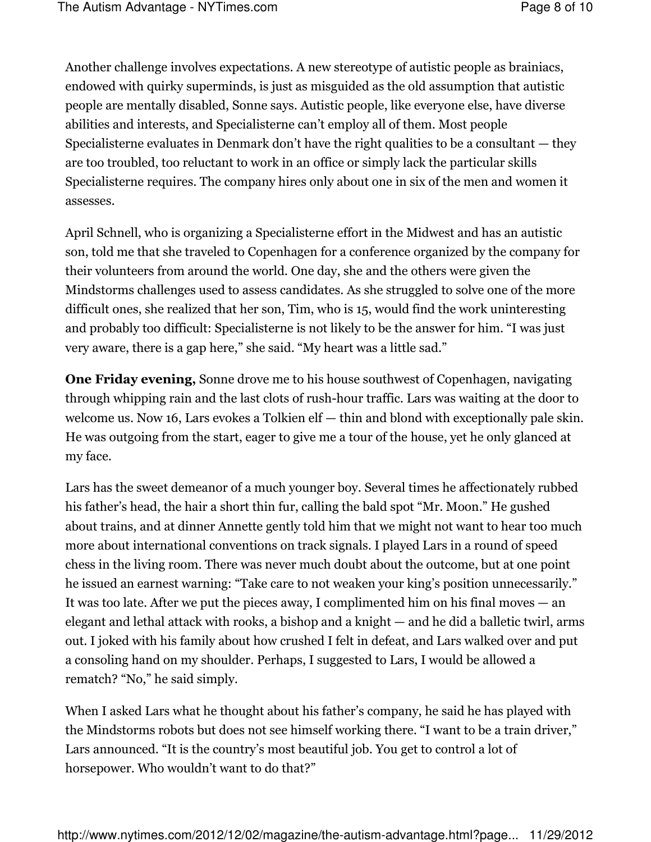Another challenge involves expectations. A new stereotype of autistic people as brainiacs, endowed with quirky superminds, is just as misguided as the old assumption that autistic people are mentally disabled, Sonne says. Autistic people, like everyone else, have diverse abilities and interests, and Specialisterne can't employ all of them. Most people Specialisterne evaluates in Denmark don't have the right qualities to be a consultant — they are too troubled, too reluctant to work in an office or simply lack the particular skills Specialisterne requires. The company hires only about one in six of the men and women it assesses.

April Schnell, who is organizing a Specialisterne effort in the Midwest and has an autistic son, told me that she traveled to Copenhagen for a conference organized by the company for their volunteers from around the world. One day, she and the others were given the Mindstorms challenges used to assess candidates. As she struggled to solve one of the more difficult ones, she realized that her son, Tim, who is 15, would find the work uninteresting and probably too difficult: Specialisterne is not likely to be the answer for him. "I was just very aware, there is a gap here," she said. "My heart was a little sad."

One Friday evening, Sonne drove me to his house southwest of Copenhagen, navigating through whipping rain and the last clots of rush-hour traffic. Lars was waiting at the door to welcome us. Now 16, Lars evokes a Tolkien elf — thin and blond with exceptionally pale skin. He was outgoing from the start, eager to give me a tour of the house, yet he only glanced at my face.

Lars has the sweet demeanor of a much younger boy. Several times he affectionately rubbed his father's head, the hair a short thin fur, calling the bald spot "Mr. Moon." He gushed about trains, and at dinner Annette gently told him that we might not want to hear too much more about international conventions on track signals. I played Lars in a round of speed chess in the living room. There was never much doubt about the outcome, but at one point he issued an earnest warning: "Take care to not weaken your king's position unnecessarily." It was too late. After we put the pieces away, I complimented him on his final moves — an elegant and lethal attack with rooks, a bishop and a knight — and he did a balletic twirl, arms out. I joked with his family about how crushed I felt in defeat, and Lars walked over and put a consoling hand on my shoulder. Perhaps, I suggested to Lars, I would be allowed a rematch? "No," he said simply.

When I asked Lars what he thought about his father's company, he said he has played with the Mindstorms robots but does not see himself working there. "I want to be a train driver," Lars announced. "It is the country's most beautiful job. You get to control a lot of horsepower. Who wouldn't want to do that?"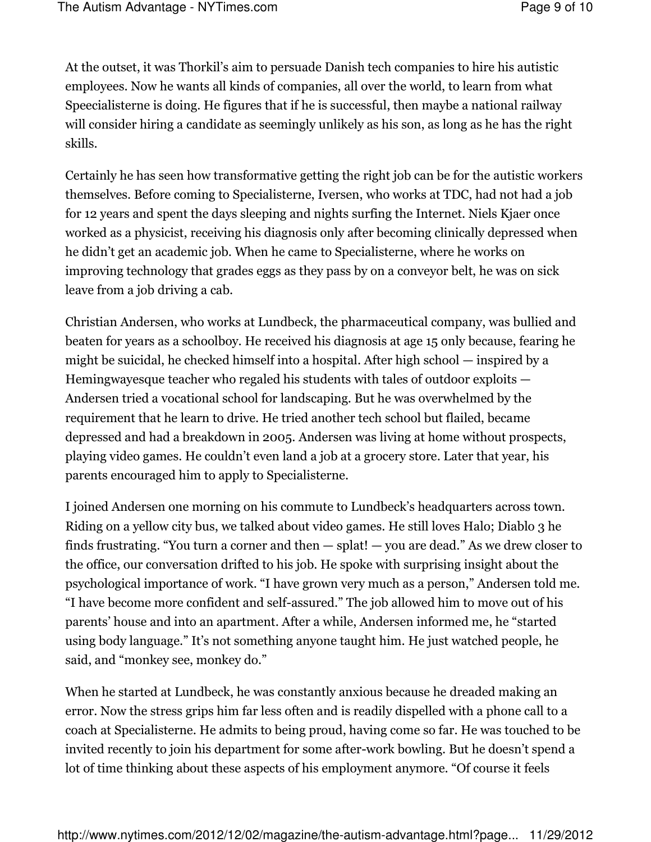At the outset, it was Thorkil's aim to persuade Danish tech companies to hire his autistic employees. Now he wants all kinds of companies, all over the world, to learn from what Speecialisterne is doing. He figures that if he is successful, then maybe a national railway will consider hiring a candidate as seemingly unlikely as his son, as long as he has the right skills.

Certainly he has seen how transformative getting the right job can be for the autistic workers themselves. Before coming to Specialisterne, Iversen, who works at TDC, had not had a job for 12 years and spent the days sleeping and nights surfing the Internet. Niels Kjaer once worked as a physicist, receiving his diagnosis only after becoming clinically depressed when he didn't get an academic job. When he came to Specialisterne, where he works on improving technology that grades eggs as they pass by on a conveyor belt, he was on sick leave from a job driving a cab.

Christian Andersen, who works at Lundbeck, the pharmaceutical company, was bullied and beaten for years as a schoolboy. He received his diagnosis at age 15 only because, fearing he might be suicidal, he checked himself into a hospital. After high school — inspired by a Hemingwayesque teacher who regaled his students with tales of outdoor exploits — Andersen tried a vocational school for landscaping. But he was overwhelmed by the requirement that he learn to drive. He tried another tech school but flailed, became depressed and had a breakdown in 2005. Andersen was living at home without prospects, playing video games. He couldn't even land a job at a grocery store. Later that year, his parents encouraged him to apply to Specialisterne.

I joined Andersen one morning on his commute to Lundbeck's headquarters across town. Riding on a yellow city bus, we talked about video games. He still loves Halo; Diablo 3 he finds frustrating. "You turn a corner and then — splat! — you are dead." As we drew closer to the office, our conversation drifted to his job. He spoke with surprising insight about the psychological importance of work. "I have grown very much as a person," Andersen told me. "I have become more confident and self-assured." The job allowed him to move out of his parents' house and into an apartment. After a while, Andersen informed me, he "started using body language." It's not something anyone taught him. He just watched people, he said, and "monkey see, monkey do."

When he started at Lundbeck, he was constantly anxious because he dreaded making an error. Now the stress grips him far less often and is readily dispelled with a phone call to a coach at Specialisterne. He admits to being proud, having come so far. He was touched to be invited recently to join his department for some after-work bowling. But he doesn't spend a lot of time thinking about these aspects of his employment anymore. "Of course it feels